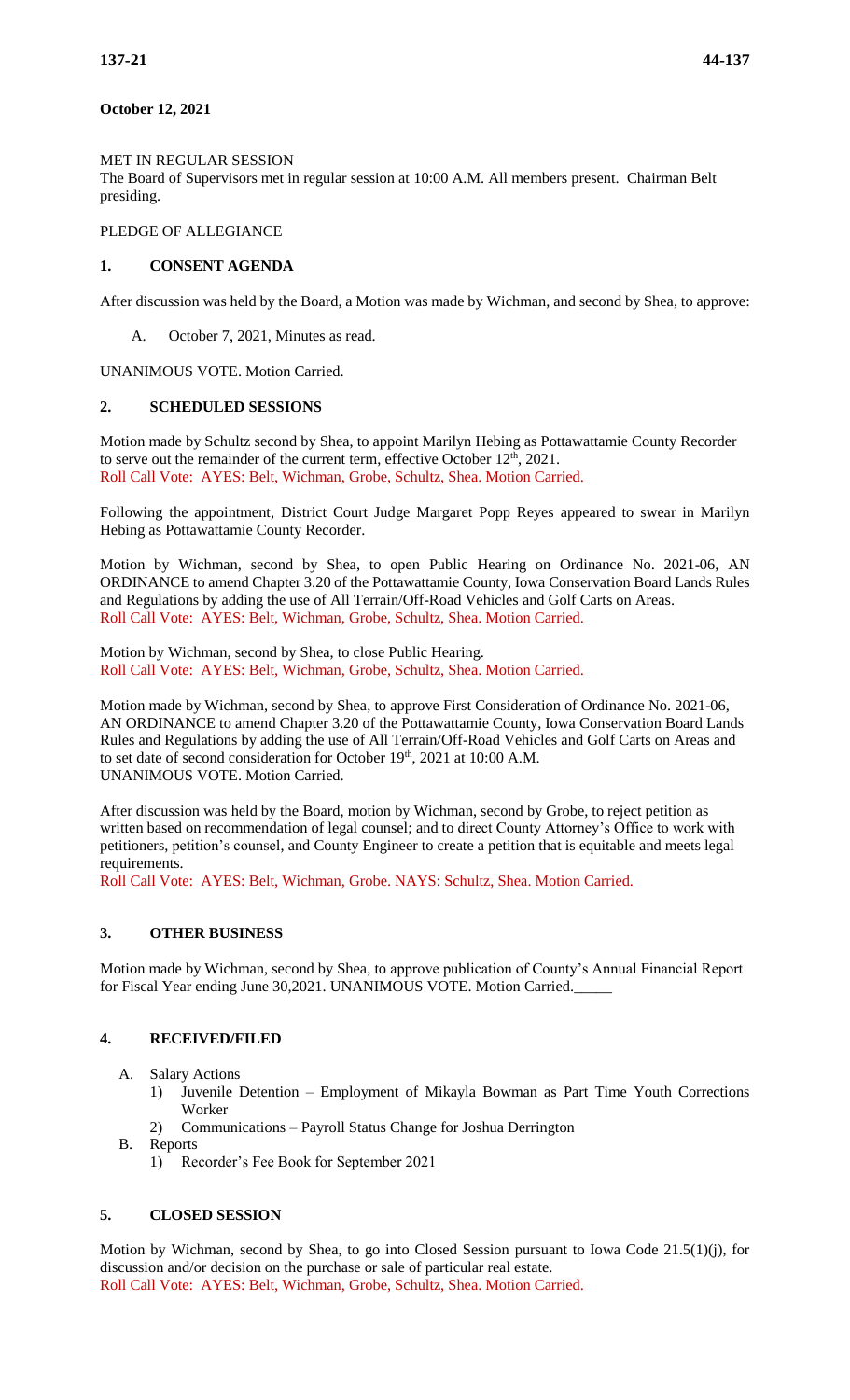### **October 12, 2021**

#### MET IN REGULAR SESSION

The Board of Supervisors met in regular session at 10:00 A.M. All members present. Chairman Belt presiding.

#### PLEDGE OF ALLEGIANCE

### **1. CONSENT AGENDA**

After discussion was held by the Board, a Motion was made by Wichman, and second by Shea, to approve:

A. October 7, 2021, Minutes as read.

UNANIMOUS VOTE. Motion Carried.

#### **2. SCHEDULED SESSIONS**

Motion made by Schultz second by Shea, to appoint Marilyn Hebing as Pottawattamie County Recorder to serve out the remainder of the current term, effective October  $12<sup>th</sup>$ , 2021. Roll Call Vote: AYES: Belt, Wichman, Grobe, Schultz, Shea. Motion Carried.

Following the appointment, District Court Judge Margaret Popp Reyes appeared to swear in Marilyn Hebing as Pottawattamie County Recorder.

Motion by Wichman, second by Shea, to open Public Hearing on Ordinance No. 2021-06, AN ORDINANCE to amend Chapter 3.20 of the Pottawattamie County, Iowa Conservation Board Lands Rules and Regulations by adding the use of All Terrain/Off-Road Vehicles and Golf Carts on Areas. Roll Call Vote: AYES: Belt, Wichman, Grobe, Schultz, Shea. Motion Carried.

Motion by Wichman, second by Shea, to close Public Hearing. Roll Call Vote: AYES: Belt, Wichman, Grobe, Schultz, Shea. Motion Carried.

Motion made by Wichman, second by Shea, to approve First Consideration of Ordinance No. 2021-06, AN ORDINANCE to amend Chapter 3.20 of the Pottawattamie County, Iowa Conservation Board Lands Rules and Regulations by adding the use of All Terrain/Off-Road Vehicles and Golf Carts on Areas and to set date of second consideration for October 19th, 2021 at 10:00 A.M. UNANIMOUS VOTE. Motion Carried.

After discussion was held by the Board, motion by Wichman, second by Grobe, to reject petition as written based on recommendation of legal counsel; and to direct County Attorney's Office to work with petitioners, petition's counsel, and County Engineer to create a petition that is equitable and meets legal requirements.

Roll Call Vote: AYES: Belt, Wichman, Grobe. NAYS: Schultz, Shea. Motion Carried.

# **3. OTHER BUSINESS**

Motion made by Wichman, second by Shea, to approve publication of County's Annual Financial Report for Fiscal Year ending June 30,2021. UNANIMOUS VOTE. Motion Carried.

# **4. RECEIVED/FILED**

- A. Salary Actions
	- 1) Juvenile Detention Employment of Mikayla Bowman as Part Time Youth Corrections Worker
	- 2) Communications Payroll Status Change for Joshua Derrington
- B. Reports
	- 1) Recorder's Fee Book for September 2021

# **5. CLOSED SESSION**

Motion by Wichman, second by Shea, to go into Closed Session pursuant to Iowa Code 21.5(1)(j), for discussion and/or decision on the purchase or sale of particular real estate. Roll Call Vote: AYES: Belt, Wichman, Grobe, Schultz, Shea. Motion Carried.